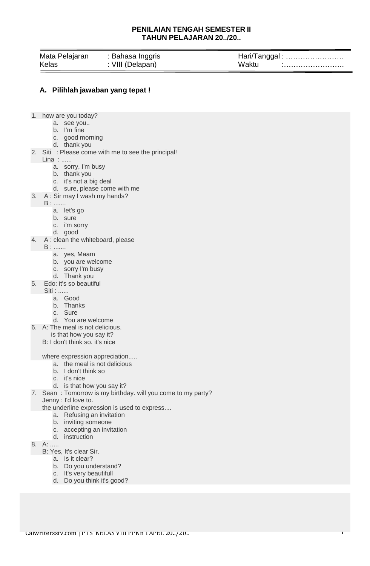## **PENILAIAN TENGAH SEMESTER II TAHUN PELAJARAN 20../20..**

| Mata Pelajaran | : Bahasa Inggris |       |
|----------------|------------------|-------|
| Kelas          | : VIII (Delapan) | Waktu |

## **A. Pilihlah jawaban yang tepat !**

- 1. how are you today?
	- a. see you..
	- b. I'm fine
	- c. good morning
	- d. thank you
- 2. Siti : Please come with me to see the principal!
	- Lina : ......
		- a. sorry, I'm busy
		- b. thank you
		- c. it's not a big deal
		- d. sure, please come with me
- 3. A : Sir may I wash my hands?
- B : .......
	- a. let's go
	- b. sure
	- c. i'm sorry
	- d. good
- 4. A : clean the whiteboard, please
	- B : .......
		- a. yes, Maam
		- b. you are welcome
		- c. sorry I'm busy
		- d. Thank you
- 5. Edo: it's so beautiful
- Siti : ......
	- a. Good
	- b. Thanks
	- c. Sure
	- d. You are welcome
- 6. A: The meal is not delicious.
	- is that how you say it?
	- B: I don't think so. it's nice

where expression appreciation.....

- a. the meal is not delicious
- b. I don't think so
- c. it's nice
- d. is that how you say it?
- 7. Sean: Tomorrow is my birthday. will you come to my party?
	- Jenny : I'd love to.
	- the underline expression is used to express....
		- a. Refusing an invitation
		- b. inviting someone
		- c. accepting an invitation
	- d. instruction
- 8. A: .....
	- B: Yes, It's clear Sir.
		- a. Is it clear?
		- b. Do you understand?
		- c. It's very beautifull
		- d. Do you think it's good?